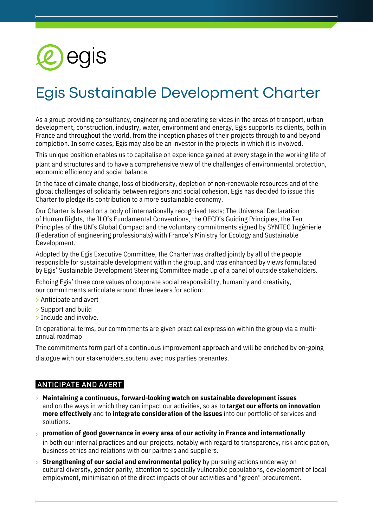

# Egis Sustainable Development Charter

As a group providing consultancy, engineering and operating services in the areas of transport, urban development, construction, industry, water, environment and energy, Egis supports its clients, both in France and throughout the world, from the inception phases of their projects through to and beyond completion. In some cases, Egis may also be an investor in the projects in which it is involved.

This unique position enables us to capitalise on experience gained at every stage in the working life of plant and structures and to have a comprehensive view of the challenges of environmental protection, economic efficiency and social balance.

In the face of climate change, loss of biodiversity, depletion of non-renewable resources and of the global challenges of solidarity between regions and social cohesion, Egis has decided to issue this Charter to pledge its contribution to a more sustainable economy.

Our Charter is based on a body of internationally recognised texts: The Universal Declaration of Human Rights, the ILO's Fundamental Conventions, the OECD's Guiding Principles, the Ten Principles of the UN's Global Compact and the voluntary commitments signed by SYNTEC Ingénierie (Federation of engineering professionals) with France's Ministry for Ecology and Sustainable Development.

Adopted by the Egis Executive Committee, the Charter was drafted jointly by all of the people responsible for sustainable development within the group, and was enhanced by views formulated by Egis' Sustainable Development Steering Committee made up of a panel of outside stakeholders.

Echoing Egis' three core values of corporate social responsibility, humanity and creativity, our commitments articulate around three levers for action:

- > Anticipate and avert
- > Support and build
- > Include and involve.

In operational terms, our commitments are given practical expression within the group via a multiannual roadmap

The commitments form part of a continuous improvement approach and will be enriched by on-going dialogue with our stakeholders.soutenu avec nos parties prenantes.

#### ANTICIPATE AND AVERT

- **Maintaining a continuous, forward-looking watch on sustainable development issues** > and on the ways in which they can impact our activities, so as to **target our efforts on innovation more effectively** and to **integrate consideration of the issues** into our portfolio of services and solutions.
- **promotion of good governance in every area of our activity in France and internationally** > in both our internal practices and our projects, notably with regard to transparency, risk anticipation, business ethics and relations with our partners and suppliers.
- **Strengthening of our social and environmental policy** by pursuing actions underway on >cultural diversity, gender parity, attention to specially vulnerable populations, development of local employment, minimisation of the direct impacts of our activities and "green" procurement.